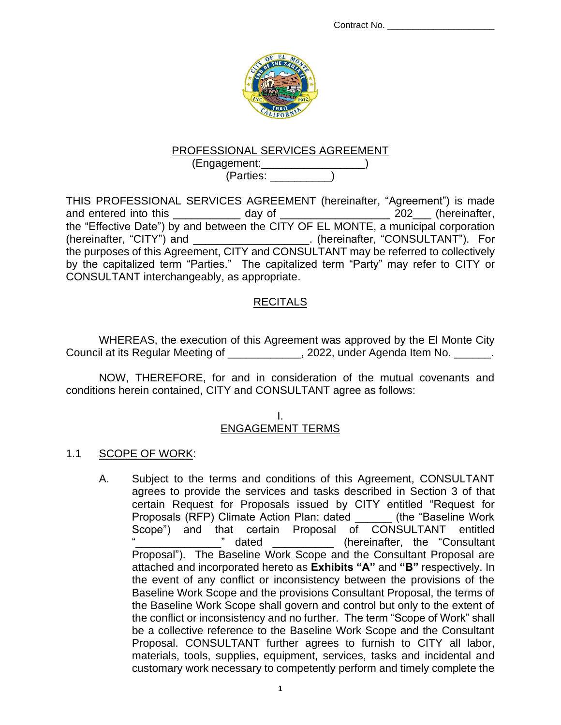

## PROFESSIONAL SERVICES AGREEMENT

(Engagement:\_\_\_\_\_\_\_\_\_\_\_\_\_\_\_\_\_) (Parties: \_\_\_\_\_\_\_\_\_\_)

THIS PROFESSIONAL SERVICES AGREEMENT (hereinafter, "Agreement") is made and entered into this \_\_\_\_\_\_\_\_\_\_\_ day of \_\_\_\_\_\_\_\_\_\_\_\_\_\_\_\_\_\_ 202\_\_\_ (hereinafter, the "Effective Date") by and between the CITY OF EL MONTE, a municipal corporation (hereinafter, "CITY") and \_\_\_\_\_\_\_\_\_\_\_\_\_\_\_\_\_\_\_. (hereinafter, "CONSULTANT"). For the purposes of this Agreement, CITY and CONSULTANT may be referred to collectively by the capitalized term "Parties." The capitalized term "Party" may refer to CITY or CONSULTANT interchangeably, as appropriate.

#### RECITALS

WHEREAS, the execution of this Agreement was approved by the El Monte City Council at its Regular Meeting of \_\_\_\_\_\_\_\_\_\_\_, 2022, under Agenda Item No. \_\_\_\_\_\_.

NOW, THEREFORE, for and in consideration of the mutual covenants and conditions herein contained, CITY and CONSULTANT agree as follows:

#### I. ENGAGEMENT TERMS

#### 1.1 SCOPE OF WORK:

A. Subject to the terms and conditions of this Agreement, CONSULTANT agrees to provide the services and tasks described in Section 3 of that certain Request for Proposals issued by CITY entitled "Request for Proposals (RFP) Climate Action Plan: dated \_\_\_\_\_\_ (the "Baseline Work Scope") and that certain Proposal of CONSULTANT entitled<br>"
dated (hereinafter, the "Consultant" (hereinafter, the "Consultant Proposal"). The Baseline Work Scope and the Consultant Proposal are attached and incorporated hereto as **Exhibits "A"** and **"B"** respectively. In the event of any conflict or inconsistency between the provisions of the Baseline Work Scope and the provisions Consultant Proposal, the terms of the Baseline Work Scope shall govern and control but only to the extent of the conflict or inconsistency and no further. The term "Scope of Work" shall be a collective reference to the Baseline Work Scope and the Consultant Proposal. CONSULTANT further agrees to furnish to CITY all labor, materials, tools, supplies, equipment, services, tasks and incidental and customary work necessary to competently perform and timely complete the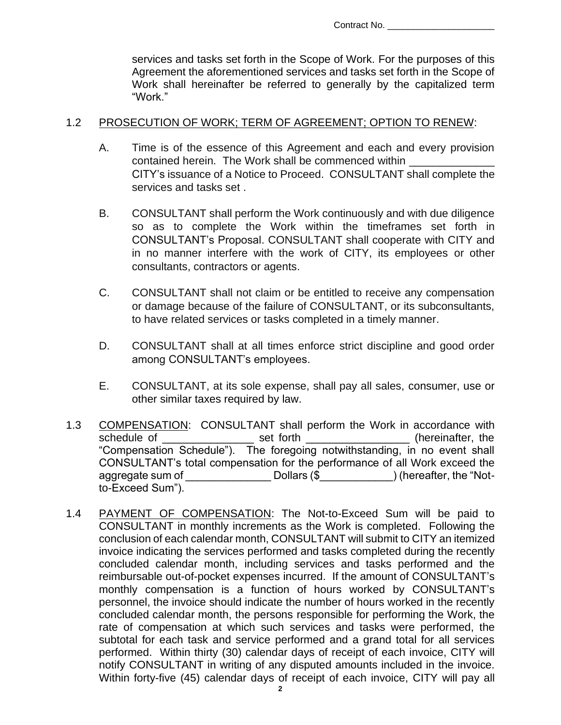services and tasks set forth in the Scope of Work. For the purposes of this Agreement the aforementioned services and tasks set forth in the Scope of Work shall hereinafter be referred to generally by the capitalized term "Work."

#### 1.2 PROSECUTION OF WORK; TERM OF AGREEMENT; OPTION TO RENEW:

- A. Time is of the essence of this Agreement and each and every provision contained herein. The Work shall be commenced within CITY's issuance of a Notice to Proceed. CONSULTANT shall complete the services and tasks set .
- B. CONSULTANT shall perform the Work continuously and with due diligence so as to complete the Work within the timeframes set forth in CONSULTANT's Proposal. CONSULTANT shall cooperate with CITY and in no manner interfere with the work of CITY, its employees or other consultants, contractors or agents.
- C. CONSULTANT shall not claim or be entitled to receive any compensation or damage because of the failure of CONSULTANT, or its subconsultants, to have related services or tasks completed in a timely manner.
- D. CONSULTANT shall at all times enforce strict discipline and good order among CONSULTANT's employees.
- E. CONSULTANT, at its sole expense, shall pay all sales, consumer, use or other similar taxes required by law.
- 1.3 COMPENSATION: CONSULTANT shall perform the Work in accordance with schedule of \_\_\_\_\_\_\_\_\_\_\_\_\_\_\_\_\_\_\_ set forth \_\_\_\_\_\_\_\_\_\_\_\_\_\_\_\_\_\_\_\_(hereinafter, the "Compensation Schedule"). The foregoing notwithstanding, in no event shall CONSULTANT's total compensation for the performance of all Work exceed the aggregate sum of Table Dollars (\$ Table 1) (hereafter, the "Notto-Exceed Sum").
- 1.4 PAYMENT OF COMPENSATION: The Not-to-Exceed Sum will be paid to CONSULTANT in monthly increments as the Work is completed. Following the conclusion of each calendar month, CONSULTANT will submit to CITY an itemized invoice indicating the services performed and tasks completed during the recently concluded calendar month, including services and tasks performed and the reimbursable out-of-pocket expenses incurred. If the amount of CONSULTANT's monthly compensation is a function of hours worked by CONSULTANT's personnel, the invoice should indicate the number of hours worked in the recently concluded calendar month, the persons responsible for performing the Work, the rate of compensation at which such services and tasks were performed, the subtotal for each task and service performed and a grand total for all services performed. Within thirty (30) calendar days of receipt of each invoice, CITY will notify CONSULTANT in writing of any disputed amounts included in the invoice. Within forty-five (45) calendar days of receipt of each invoice, CITY will pay all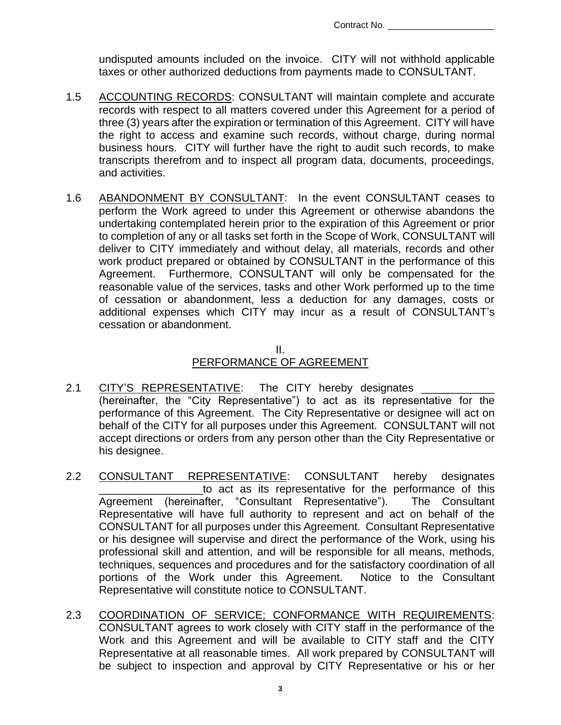undisputed amounts included on the invoice. CITY will not withhold applicable taxes or other authorized deductions from payments made to CONSULTANT.

- 1.5 ACCOUNTING RECORDS: CONSULTANT will maintain complete and accurate records with respect to all matters covered under this Agreement for a period of three (3) years after the expiration or termination of this Agreement. CITY will have the right to access and examine such records, without charge, during normal business hours. CITY will further have the right to audit such records, to make transcripts therefrom and to inspect all program data, documents, proceedings, and activities.
- 1.6 ABANDONMENT BY CONSULTANT: In the event CONSULTANT ceases to perform the Work agreed to under this Agreement or otherwise abandons the undertaking contemplated herein prior to the expiration of this Agreement or prior to completion of any or all tasks set forth in the Scope of Work, CONSULTANT will deliver to CITY immediately and without delay, all materials, records and other work product prepared or obtained by CONSULTANT in the performance of this Agreement. Furthermore, CONSULTANT will only be compensated for the reasonable value of the services, tasks and other Work performed up to the time of cessation or abandonment, less a deduction for any damages, costs or additional expenses which CITY may incur as a result of CONSULTANT's cessation or abandonment.

### II. PERFORMANCE OF AGREEMENT

- 2.1 CITY'S REPRESENTATIVE: The CITY hereby designates (hereinafter, the "City Representative") to act as its representative for the performance of this Agreement. The City Representative or designee will act on behalf of the CITY for all purposes under this Agreement. CONSULTANT will not accept directions or orders from any person other than the City Representative or his designee.
- 2.2 CONSULTANT REPRESENTATIVE: CONSULTANT hereby designates to act as its representative for the performance of this Agreement (hereinafter, "Consultant Representative"). The Consultant Representative will have full authority to represent and act on behalf of the CONSULTANT for all purposes under this Agreement. Consultant Representative or his designee will supervise and direct the performance of the Work, using his professional skill and attention, and will be responsible for all means, methods, techniques, sequences and procedures and for the satisfactory coordination of all portions of the Work under this Agreement. Notice to the Consultant Representative will constitute notice to CONSULTANT.
- 2.3 COORDINATION OF SERVICE; CONFORMANCE WITH REQUIREMENTS: CONSULTANT agrees to work closely with CITY staff in the performance of the Work and this Agreement and will be available to CITY staff and the CITY Representative at all reasonable times. All work prepared by CONSULTANT will be subject to inspection and approval by CITY Representative or his or her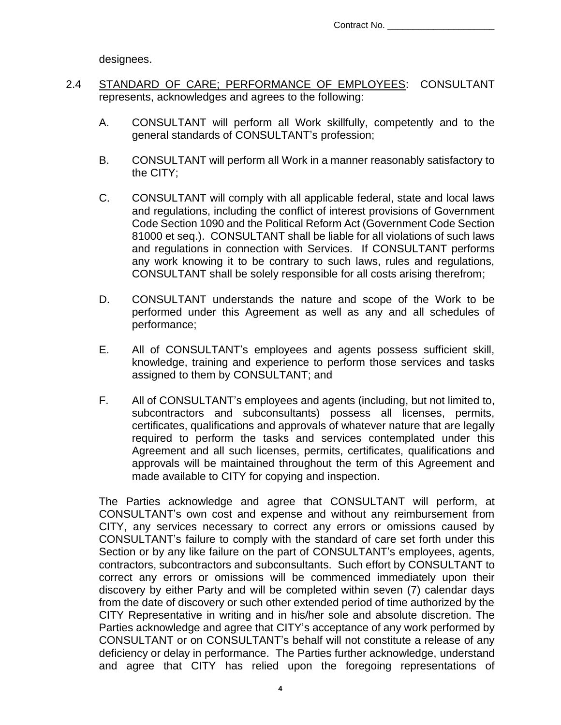Contract No.

designees.

- 2.4 STANDARD OF CARE; PERFORMANCE OF EMPLOYEES: CONSULTANT represents, acknowledges and agrees to the following:
	- A. CONSULTANT will perform all Work skillfully, competently and to the general standards of CONSULTANT's profession;
	- B. CONSULTANT will perform all Work in a manner reasonably satisfactory to the CITY;
	- C. CONSULTANT will comply with all applicable federal, state and local laws and regulations, including the conflict of interest provisions of Government Code Section 1090 and the Political Reform Act (Government Code Section 81000 et seq.). CONSULTANT shall be liable for all violations of such laws and regulations in connection with Services. If CONSULTANT performs any work knowing it to be contrary to such laws, rules and regulations, CONSULTANT shall be solely responsible for all costs arising therefrom;
	- D. CONSULTANT understands the nature and scope of the Work to be performed under this Agreement as well as any and all schedules of performance;
	- E. All of CONSULTANT's employees and agents possess sufficient skill, knowledge, training and experience to perform those services and tasks assigned to them by CONSULTANT; and
	- F. All of CONSULTANT's employees and agents (including, but not limited to, subcontractors and subconsultants) possess all licenses, permits, certificates, qualifications and approvals of whatever nature that are legally required to perform the tasks and services contemplated under this Agreement and all such licenses, permits, certificates, qualifications and approvals will be maintained throughout the term of this Agreement and made available to CITY for copying and inspection.

The Parties acknowledge and agree that CONSULTANT will perform, at CONSULTANT's own cost and expense and without any reimbursement from CITY, any services necessary to correct any errors or omissions caused by CONSULTANT's failure to comply with the standard of care set forth under this Section or by any like failure on the part of CONSULTANT's employees, agents, contractors, subcontractors and subconsultants. Such effort by CONSULTANT to correct any errors or omissions will be commenced immediately upon their discovery by either Party and will be completed within seven (7) calendar days from the date of discovery or such other extended period of time authorized by the CITY Representative in writing and in his/her sole and absolute discretion. The Parties acknowledge and agree that CITY's acceptance of any work performed by CONSULTANT or on CONSULTANT's behalf will not constitute a release of any deficiency or delay in performance. The Parties further acknowledge, understand and agree that CITY has relied upon the foregoing representations of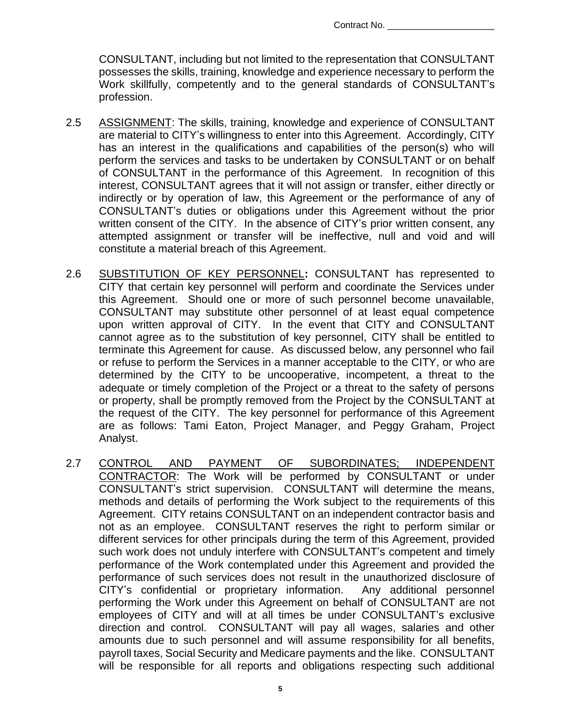CONSULTANT, including but not limited to the representation that CONSULTANT possesses the skills, training, knowledge and experience necessary to perform the Work skillfully, competently and to the general standards of CONSULTANT's profession.

- 2.5 ASSIGNMENT: The skills, training, knowledge and experience of CONSULTANT are material to CITY's willingness to enter into this Agreement. Accordingly, CITY has an interest in the qualifications and capabilities of the person(s) who will perform the services and tasks to be undertaken by CONSULTANT or on behalf of CONSULTANT in the performance of this Agreement. In recognition of this interest, CONSULTANT agrees that it will not assign or transfer, either directly or indirectly or by operation of law, this Agreement or the performance of any of CONSULTANT's duties or obligations under this Agreement without the prior written consent of the CITY. In the absence of CITY's prior written consent, any attempted assignment or transfer will be ineffective, null and void and will constitute a material breach of this Agreement.
- 2.6 SUBSTITUTION OF KEY PERSONNEL**:** CONSULTANT has represented to CITY that certain key personnel will perform and coordinate the Services under this Agreement. Should one or more of such personnel become unavailable, CONSULTANT may substitute other personnel of at least equal competence upon written approval of CITY. In the event that CITY and CONSULTANT cannot agree as to the substitution of key personnel, CITY shall be entitled to terminate this Agreement for cause. As discussed below, any personnel who fail or refuse to perform the Services in a manner acceptable to the CITY, or who are determined by the CITY to be uncooperative, incompetent, a threat to the adequate or timely completion of the Project or a threat to the safety of persons or property, shall be promptly removed from the Project by the CONSULTANT at the request of the CITY. The key personnel for performance of this Agreement are as follows: Tami Eaton, Project Manager, and Peggy Graham, Project Analyst.
- 2.7 CONTROL AND PAYMENT OF SUBORDINATES; INDEPENDENT CONTRACTOR: The Work will be performed by CONSULTANT or under CONSULTANT's strict supervision. CONSULTANT will determine the means, methods and details of performing the Work subject to the requirements of this Agreement. CITY retains CONSULTANT on an independent contractor basis and not as an employee. CONSULTANT reserves the right to perform similar or different services for other principals during the term of this Agreement, provided such work does not unduly interfere with CONSULTANT's competent and timely performance of the Work contemplated under this Agreement and provided the performance of such services does not result in the unauthorized disclosure of CITY's confidential or proprietary information. Any additional personnel performing the Work under this Agreement on behalf of CONSULTANT are not employees of CITY and will at all times be under CONSULTANT's exclusive direction and control. CONSULTANT will pay all wages, salaries and other amounts due to such personnel and will assume responsibility for all benefits, payroll taxes, Social Security and Medicare payments and the like. CONSULTANT will be responsible for all reports and obligations respecting such additional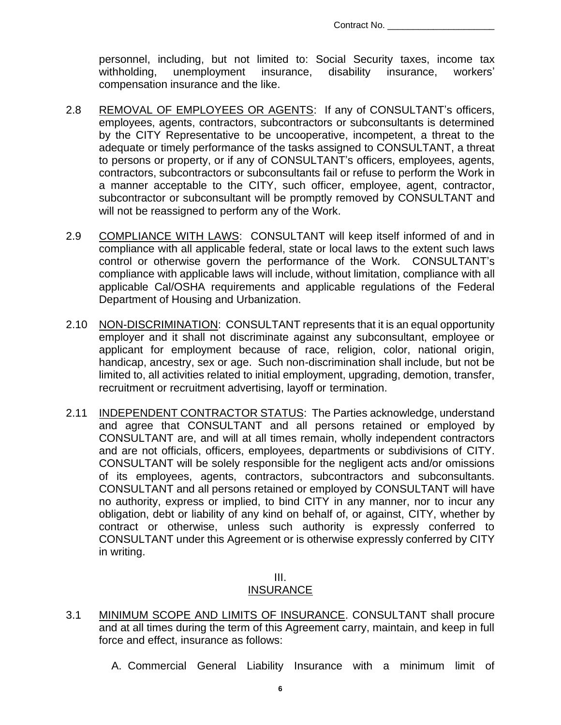personnel, including, but not limited to: Social Security taxes, income tax withholding, unemployment insurance, disability insurance, workers' compensation insurance and the like.

- 2.8 REMOVAL OF EMPLOYEES OR AGENTS: If any of CONSULTANT's officers, employees, agents, contractors, subcontractors or subconsultants is determined by the CITY Representative to be uncooperative, incompetent, a threat to the adequate or timely performance of the tasks assigned to CONSULTANT, a threat to persons or property, or if any of CONSULTANT's officers, employees, agents, contractors, subcontractors or subconsultants fail or refuse to perform the Work in a manner acceptable to the CITY, such officer, employee, agent, contractor, subcontractor or subconsultant will be promptly removed by CONSULTANT and will not be reassigned to perform any of the Work.
- 2.9 COMPLIANCE WITH LAWS: CONSULTANT will keep itself informed of and in compliance with all applicable federal, state or local laws to the extent such laws control or otherwise govern the performance of the Work. CONSULTANT's compliance with applicable laws will include, without limitation, compliance with all applicable Cal/OSHA requirements and applicable regulations of the Federal Department of Housing and Urbanization.
- 2.10 NON-DISCRIMINATION: CONSULTANT represents that it is an equal opportunity employer and it shall not discriminate against any subconsultant, employee or applicant for employment because of race, religion, color, national origin, handicap, ancestry, sex or age. Such non-discrimination shall include, but not be limited to, all activities related to initial employment, upgrading, demotion, transfer, recruitment or recruitment advertising, layoff or termination.
- 2.11 INDEPENDENT CONTRACTOR STATUS: The Parties acknowledge, understand and agree that CONSULTANT and all persons retained or employed by CONSULTANT are, and will at all times remain, wholly independent contractors and are not officials, officers, employees, departments or subdivisions of CITY. CONSULTANT will be solely responsible for the negligent acts and/or omissions of its employees, agents, contractors, subcontractors and subconsultants. CONSULTANT and all persons retained or employed by CONSULTANT will have no authority, express or implied, to bind CITY in any manner, nor to incur any obligation, debt or liability of any kind on behalf of, or against, CITY, whether by contract or otherwise, unless such authority is expressly conferred to CONSULTANT under this Agreement or is otherwise expressly conferred by CITY in writing.

## III.

#### INSURANCE

- 3.1 MINIMUM SCOPE AND LIMITS OF INSURANCE. CONSULTANT shall procure and at all times during the term of this Agreement carry, maintain, and keep in full force and effect, insurance as follows:
	- A. Commercial General Liability Insurance with a minimum limit of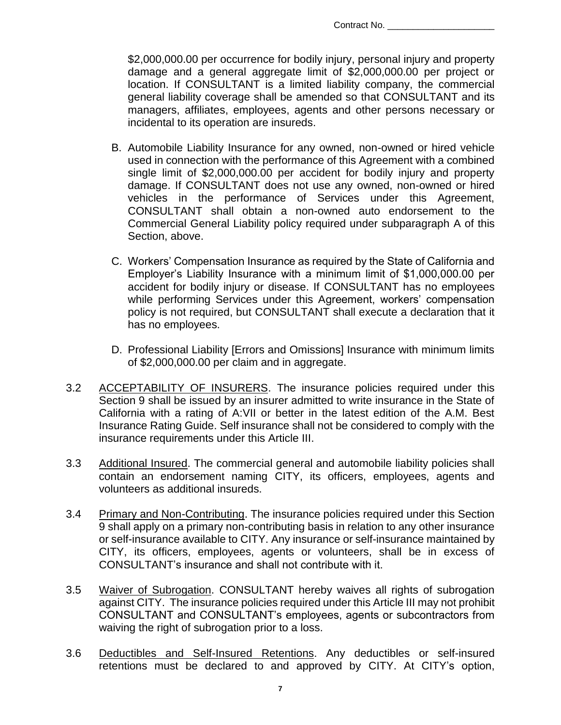\$2,000,000.00 per occurrence for bodily injury, personal injury and property damage and a general aggregate limit of \$2,000,000.00 per project or location. If CONSULTANT is a limited liability company, the commercial general liability coverage shall be amended so that CONSULTANT and its managers, affiliates, employees, agents and other persons necessary or incidental to its operation are insureds.

- B. Automobile Liability Insurance for any owned, non-owned or hired vehicle used in connection with the performance of this Agreement with a combined single limit of \$2,000,000.00 per accident for bodily injury and property damage. If CONSULTANT does not use any owned, non-owned or hired vehicles in the performance of Services under this Agreement, CONSULTANT shall obtain a non-owned auto endorsement to the Commercial General Liability policy required under subparagraph A of this Section, above.
- C. Workers' Compensation Insurance as required by the State of California and Employer's Liability Insurance with a minimum limit of \$1,000,000.00 per accident for bodily injury or disease. If CONSULTANT has no employees while performing Services under this Agreement, workers' compensation policy is not required, but CONSULTANT shall execute a declaration that it has no employees.
- D. Professional Liability [Errors and Omissions] Insurance with minimum limits of \$2,000,000.00 per claim and in aggregate.
- 3.2 ACCEPTABILITY OF INSURERS. The insurance policies required under this Section 9 shall be issued by an insurer admitted to write insurance in the State of California with a rating of A:VII or better in the latest edition of the A.M. Best Insurance Rating Guide. Self insurance shall not be considered to comply with the insurance requirements under this Article III.
- 3.3 Additional Insured. The commercial general and automobile liability policies shall contain an endorsement naming CITY, its officers, employees, agents and volunteers as additional insureds.
- 3.4 Primary and Non-Contributing. The insurance policies required under this Section 9 shall apply on a primary non-contributing basis in relation to any other insurance or self-insurance available to CITY. Any insurance or self-insurance maintained by CITY, its officers, employees, agents or volunteers, shall be in excess of CONSULTANT's insurance and shall not contribute with it.
- 3.5 Waiver of Subrogation. CONSULTANT hereby waives all rights of subrogation against CITY. The insurance policies required under this Article III may not prohibit CONSULTANT and CONSULTANT's employees, agents or subcontractors from waiving the right of subrogation prior to a loss.
- 3.6 Deductibles and Self-Insured Retentions. Any deductibles or self-insured retentions must be declared to and approved by CITY. At CITY's option,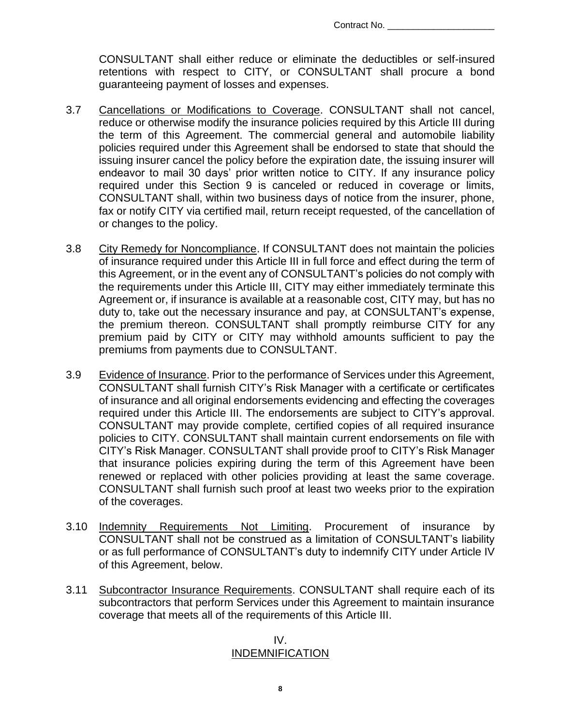CONSULTANT shall either reduce or eliminate the deductibles or self-insured retentions with respect to CITY, or CONSULTANT shall procure a bond guaranteeing payment of losses and expenses.

- 3.7 Cancellations or Modifications to Coverage. CONSULTANT shall not cancel, reduce or otherwise modify the insurance policies required by this Article III during the term of this Agreement. The commercial general and automobile liability policies required under this Agreement shall be endorsed to state that should the issuing insurer cancel the policy before the expiration date, the issuing insurer will endeavor to mail 30 days' prior written notice to CITY. If any insurance policy required under this Section 9 is canceled or reduced in coverage or limits, CONSULTANT shall, within two business days of notice from the insurer, phone, fax or notify CITY via certified mail, return receipt requested, of the cancellation of or changes to the policy.
- 3.8 City Remedy for Noncompliance. If CONSULTANT does not maintain the policies of insurance required under this Article III in full force and effect during the term of this Agreement, or in the event any of CONSULTANT's policies do not comply with the requirements under this Article III, CITY may either immediately terminate this Agreement or, if insurance is available at a reasonable cost, CITY may, but has no duty to, take out the necessary insurance and pay, at CONSULTANT's expense, the premium thereon. CONSULTANT shall promptly reimburse CITY for any premium paid by CITY or CITY may withhold amounts sufficient to pay the premiums from payments due to CONSULTANT.
- 3.9 Evidence of Insurance. Prior to the performance of Services under this Agreement, CONSULTANT shall furnish CITY's Risk Manager with a certificate or certificates of insurance and all original endorsements evidencing and effecting the coverages required under this Article III. The endorsements are subject to CITY's approval. CONSULTANT may provide complete, certified copies of all required insurance policies to CITY. CONSULTANT shall maintain current endorsements on file with CITY's Risk Manager. CONSULTANT shall provide proof to CITY's Risk Manager that insurance policies expiring during the term of this Agreement have been renewed or replaced with other policies providing at least the same coverage. CONSULTANT shall furnish such proof at least two weeks prior to the expiration of the coverages.
- 3.10 Indemnity Requirements Not Limiting. Procurement of insurance by CONSULTANT shall not be construed as a limitation of CONSULTANT's liability or as full performance of CONSULTANT's duty to indemnify CITY under Article IV of this Agreement, below.
- 3.11 Subcontractor Insurance Requirements. CONSULTANT shall require each of its subcontractors that perform Services under this Agreement to maintain insurance coverage that meets all of the requirements of this Article III.

#### IV. INDEMNIFICATION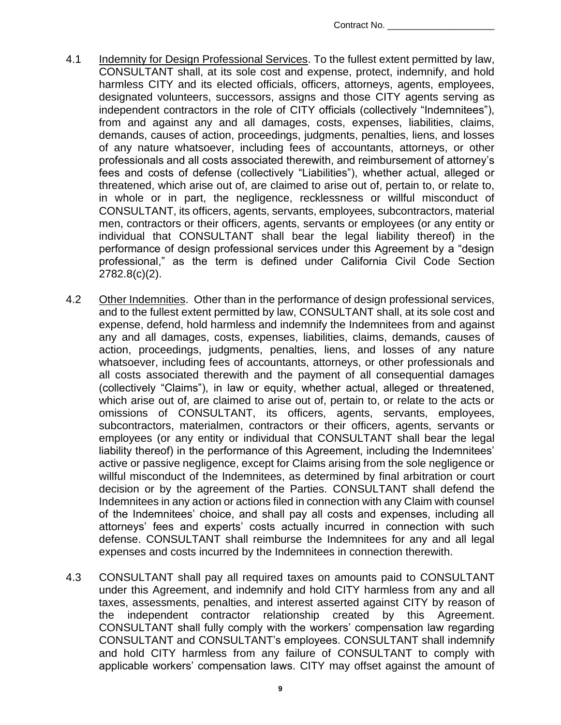- 4.1 Indemnity for Design Professional Services. To the fullest extent permitted by law, CONSULTANT shall, at its sole cost and expense, protect, indemnify, and hold harmless CITY and its elected officials, officers, attorneys, agents, employees, designated volunteers, successors, assigns and those CITY agents serving as independent contractors in the role of CITY officials (collectively "Indemnitees"), from and against any and all damages, costs, expenses, liabilities, claims, demands, causes of action, proceedings, judgments, penalties, liens, and losses of any nature whatsoever, including fees of accountants, attorneys, or other professionals and all costs associated therewith, and reimbursement of attorney's fees and costs of defense (collectively "Liabilities"), whether actual, alleged or threatened, which arise out of, are claimed to arise out of, pertain to, or relate to, in whole or in part, the negligence, recklessness or willful misconduct of CONSULTANT, its officers, agents, servants, employees, subcontractors, material men, contractors or their officers, agents, servants or employees (or any entity or individual that CONSULTANT shall bear the legal liability thereof) in the performance of design professional services under this Agreement by a "design professional," as the term is defined under California Civil Code Section 2782.8(c)(2).
- 4.2 Other Indemnities. Other than in the performance of design professional services, and to the fullest extent permitted by law, CONSULTANT shall, at its sole cost and expense, defend, hold harmless and indemnify the Indemnitees from and against any and all damages, costs, expenses, liabilities, claims, demands, causes of action, proceedings, judgments, penalties, liens, and losses of any nature whatsoever, including fees of accountants, attorneys, or other professionals and all costs associated therewith and the payment of all consequential damages (collectively "Claims"), in law or equity, whether actual, alleged or threatened, which arise out of, are claimed to arise out of, pertain to, or relate to the acts or omissions of CONSULTANT, its officers, agents, servants, employees, subcontractors, materialmen, contractors or their officers, agents, servants or employees (or any entity or individual that CONSULTANT shall bear the legal liability thereof) in the performance of this Agreement, including the Indemnitees' active or passive negligence, except for Claims arising from the sole negligence or willful misconduct of the Indemnitees, as determined by final arbitration or court decision or by the agreement of the Parties. CONSULTANT shall defend the Indemnitees in any action or actions filed in connection with any Claim with counsel of the Indemnitees' choice, and shall pay all costs and expenses, including all attorneys' fees and experts' costs actually incurred in connection with such defense. CONSULTANT shall reimburse the Indemnitees for any and all legal expenses and costs incurred by the Indemnitees in connection therewith.
- 4.3 CONSULTANT shall pay all required taxes on amounts paid to CONSULTANT under this Agreement, and indemnify and hold CITY harmless from any and all taxes, assessments, penalties, and interest asserted against CITY by reason of the independent contractor relationship created by this Agreement. CONSULTANT shall fully comply with the workers' compensation law regarding CONSULTANT and CONSULTANT's employees. CONSULTANT shall indemnify and hold CITY harmless from any failure of CONSULTANT to comply with applicable workers' compensation laws. CITY may offset against the amount of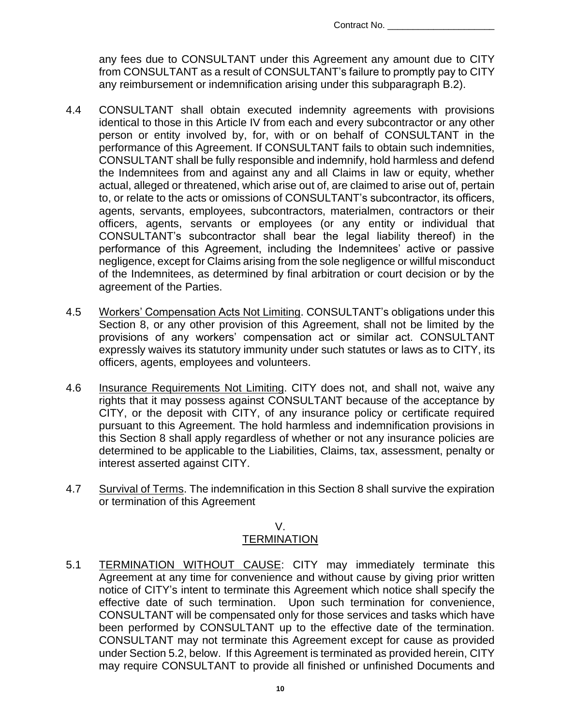any fees due to CONSULTANT under this Agreement any amount due to CITY from CONSULTANT as a result of CONSULTANT's failure to promptly pay to CITY any reimbursement or indemnification arising under this subparagraph B.2).

- 4.4 CONSULTANT shall obtain executed indemnity agreements with provisions identical to those in this Article IV from each and every subcontractor or any other person or entity involved by, for, with or on behalf of CONSULTANT in the performance of this Agreement. If CONSULTANT fails to obtain such indemnities, CONSULTANT shall be fully responsible and indemnify, hold harmless and defend the Indemnitees from and against any and all Claims in law or equity, whether actual, alleged or threatened, which arise out of, are claimed to arise out of, pertain to, or relate to the acts or omissions of CONSULTANT's subcontractor, its officers, agents, servants, employees, subcontractors, materialmen, contractors or their officers, agents, servants or employees (or any entity or individual that CONSULTANT's subcontractor shall bear the legal liability thereof) in the performance of this Agreement, including the Indemnitees' active or passive negligence, except for Claims arising from the sole negligence or willful misconduct of the Indemnitees, as determined by final arbitration or court decision or by the agreement of the Parties.
- 4.5 Workers' Compensation Acts Not Limiting. CONSULTANT's obligations under this Section 8, or any other provision of this Agreement, shall not be limited by the provisions of any workers' compensation act or similar act. CONSULTANT expressly waives its statutory immunity under such statutes or laws as to CITY, its officers, agents, employees and volunteers.
- 4.6 Insurance Requirements Not Limiting. CITY does not, and shall not, waive any rights that it may possess against CONSULTANT because of the acceptance by CITY, or the deposit with CITY, of any insurance policy or certificate required pursuant to this Agreement. The hold harmless and indemnification provisions in this Section 8 shall apply regardless of whether or not any insurance policies are determined to be applicable to the Liabilities, Claims, tax, assessment, penalty or interest asserted against CITY.
- 4.7 Survival of Terms. The indemnification in this Section 8 shall survive the expiration or termination of this Agreement

#### V. **TERMINATION**

5.1 TERMINATION WITHOUT CAUSE: CITY may immediately terminate this Agreement at any time for convenience and without cause by giving prior written notice of CITY's intent to terminate this Agreement which notice shall specify the effective date of such termination. Upon such termination for convenience, CONSULTANT will be compensated only for those services and tasks which have been performed by CONSULTANT up to the effective date of the termination. CONSULTANT may not terminate this Agreement except for cause as provided under Section 5.2, below. If this Agreement is terminated as provided herein, CITY may require CONSULTANT to provide all finished or unfinished Documents and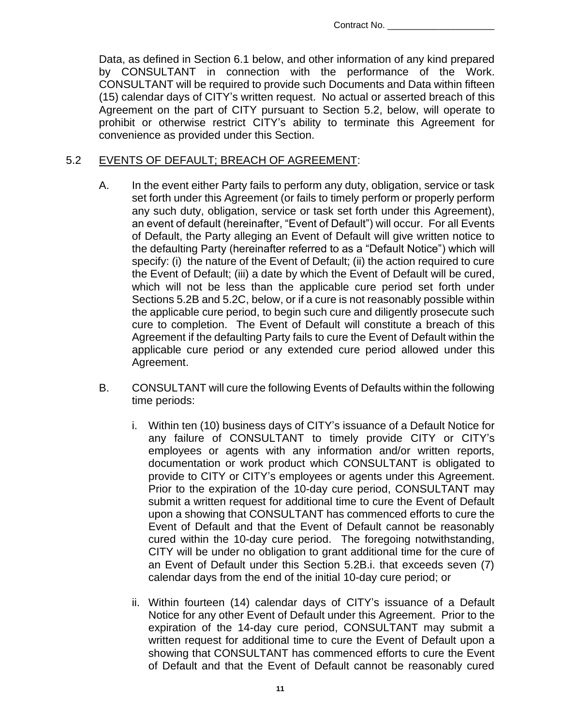Data, as defined in Section 6.1 below, and other information of any kind prepared by CONSULTANT in connection with the performance of the Work. CONSULTANT will be required to provide such Documents and Data within fifteen (15) calendar days of CITY's written request. No actual or asserted breach of this Agreement on the part of CITY pursuant to Section 5.2, below, will operate to prohibit or otherwise restrict CITY's ability to terminate this Agreement for convenience as provided under this Section.

#### 5.2 EVENTS OF DEFAULT; BREACH OF AGREEMENT:

- A. In the event either Party fails to perform any duty, obligation, service or task set forth under this Agreement (or fails to timely perform or properly perform any such duty, obligation, service or task set forth under this Agreement), an event of default (hereinafter, "Event of Default") will occur. For all Events of Default, the Party alleging an Event of Default will give written notice to the defaulting Party (hereinafter referred to as a "Default Notice") which will specify: (i) the nature of the Event of Default; (ii) the action required to cure the Event of Default; (iii) a date by which the Event of Default will be cured, which will not be less than the applicable cure period set forth under Sections 5.2B and 5.2C, below, or if a cure is not reasonably possible within the applicable cure period, to begin such cure and diligently prosecute such cure to completion. The Event of Default will constitute a breach of this Agreement if the defaulting Party fails to cure the Event of Default within the applicable cure period or any extended cure period allowed under this Agreement.
- B. CONSULTANT will cure the following Events of Defaults within the following time periods:
	- i. Within ten (10) business days of CITY's issuance of a Default Notice for any failure of CONSULTANT to timely provide CITY or CITY's employees or agents with any information and/or written reports, documentation or work product which CONSULTANT is obligated to provide to CITY or CITY's employees or agents under this Agreement. Prior to the expiration of the 10-day cure period, CONSULTANT may submit a written request for additional time to cure the Event of Default upon a showing that CONSULTANT has commenced efforts to cure the Event of Default and that the Event of Default cannot be reasonably cured within the 10-day cure period. The foregoing notwithstanding, CITY will be under no obligation to grant additional time for the cure of an Event of Default under this Section 5.2B.i. that exceeds seven (7) calendar days from the end of the initial 10-day cure period; or
	- ii. Within fourteen (14) calendar days of CITY's issuance of a Default Notice for any other Event of Default under this Agreement. Prior to the expiration of the 14-day cure period, CONSULTANT may submit a written request for additional time to cure the Event of Default upon a showing that CONSULTANT has commenced efforts to cure the Event of Default and that the Event of Default cannot be reasonably cured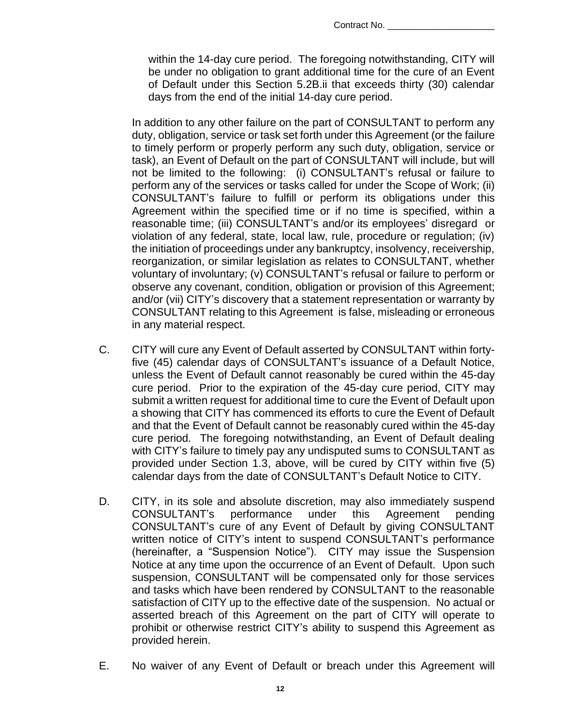within the 14-day cure period. The foregoing notwithstanding, CITY will be under no obligation to grant additional time for the cure of an Event of Default under this Section 5.2B.ii that exceeds thirty (30) calendar days from the end of the initial 14-day cure period.

In addition to any other failure on the part of CONSULTANT to perform any duty, obligation, service or task set forth under this Agreement (or the failure to timely perform or properly perform any such duty, obligation, service or task), an Event of Default on the part of CONSULTANT will include, but will not be limited to the following: (i) CONSULTANT's refusal or failure to perform any of the services or tasks called for under the Scope of Work; (ii) CONSULTANT's failure to fulfill or perform its obligations under this Agreement within the specified time or if no time is specified, within a reasonable time; (iii) CONSULTANT's and/or its employees' disregard or violation of any federal, state, local law, rule, procedure or regulation; (iv) the initiation of proceedings under any bankruptcy, insolvency, receivership, reorganization, or similar legislation as relates to CONSULTANT, whether voluntary of involuntary; (v) CONSULTANT's refusal or failure to perform or observe any covenant, condition, obligation or provision of this Agreement; and/or (vii) CITY's discovery that a statement representation or warranty by CONSULTANT relating to this Agreement is false, misleading or erroneous in any material respect.

- C. CITY will cure any Event of Default asserted by CONSULTANT within fortyfive (45) calendar days of CONSULTANT's issuance of a Default Notice, unless the Event of Default cannot reasonably be cured within the 45-day cure period. Prior to the expiration of the 45-day cure period, CITY may submit a written request for additional time to cure the Event of Default upon a showing that CITY has commenced its efforts to cure the Event of Default and that the Event of Default cannot be reasonably cured within the 45-day cure period. The foregoing notwithstanding, an Event of Default dealing with CITY's failure to timely pay any undisputed sums to CONSULTANT as provided under Section 1.3, above, will be cured by CITY within five (5) calendar days from the date of CONSULTANT's Default Notice to CITY.
- D. CITY, in its sole and absolute discretion, may also immediately suspend CONSULTANT's performance under this Agreement pending CONSULTANT's cure of any Event of Default by giving CONSULTANT written notice of CITY's intent to suspend CONSULTANT's performance (hereinafter, a "Suspension Notice"). CITY may issue the Suspension Notice at any time upon the occurrence of an Event of Default. Upon such suspension, CONSULTANT will be compensated only for those services and tasks which have been rendered by CONSULTANT to the reasonable satisfaction of CITY up to the effective date of the suspension. No actual or asserted breach of this Agreement on the part of CITY will operate to prohibit or otherwise restrict CITY's ability to suspend this Agreement as provided herein.
- E. No waiver of any Event of Default or breach under this Agreement will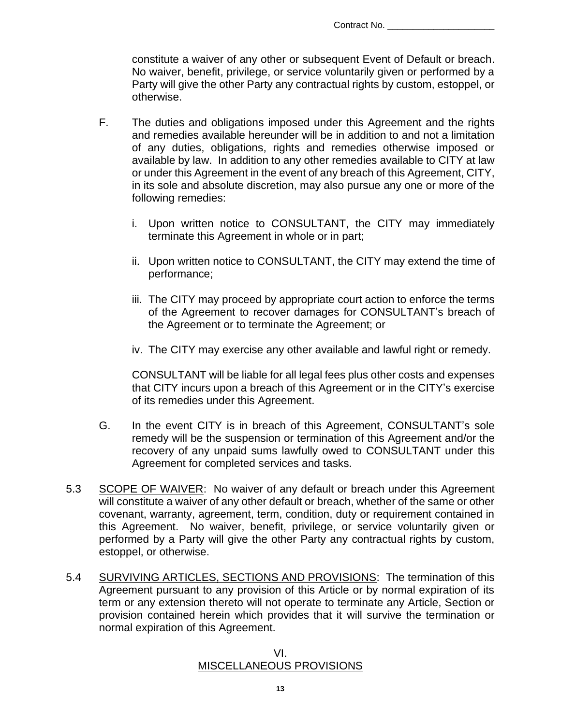constitute a waiver of any other or subsequent Event of Default or breach. No waiver, benefit, privilege, or service voluntarily given or performed by a Party will give the other Party any contractual rights by custom, estoppel, or otherwise.

- F. The duties and obligations imposed under this Agreement and the rights and remedies available hereunder will be in addition to and not a limitation of any duties, obligations, rights and remedies otherwise imposed or available by law. In addition to any other remedies available to CITY at law or under this Agreement in the event of any breach of this Agreement, CITY, in its sole and absolute discretion, may also pursue any one or more of the following remedies:
	- i. Upon written notice to CONSULTANT, the CITY may immediately terminate this Agreement in whole or in part;
	- ii. Upon written notice to CONSULTANT, the CITY may extend the time of performance;
	- iii. The CITY may proceed by appropriate court action to enforce the terms of the Agreement to recover damages for CONSULTANT's breach of the Agreement or to terminate the Agreement; or
	- iv. The CITY may exercise any other available and lawful right or remedy.

CONSULTANT will be liable for all legal fees plus other costs and expenses that CITY incurs upon a breach of this Agreement or in the CITY's exercise of its remedies under this Agreement.

- G. In the event CITY is in breach of this Agreement, CONSULTANT's sole remedy will be the suspension or termination of this Agreement and/or the recovery of any unpaid sums lawfully owed to CONSULTANT under this Agreement for completed services and tasks.
- 5.3 SCOPE OF WAIVER: No waiver of any default or breach under this Agreement will constitute a waiver of any other default or breach, whether of the same or other covenant, warranty, agreement, term, condition, duty or requirement contained in this Agreement. No waiver, benefit, privilege, or service voluntarily given or performed by a Party will give the other Party any contractual rights by custom, estoppel, or otherwise.
- 5.4 SURVIVING ARTICLES, SECTIONS AND PROVISIONS: The termination of this Agreement pursuant to any provision of this Article or by normal expiration of its term or any extension thereto will not operate to terminate any Article, Section or provision contained herein which provides that it will survive the termination or normal expiration of this Agreement.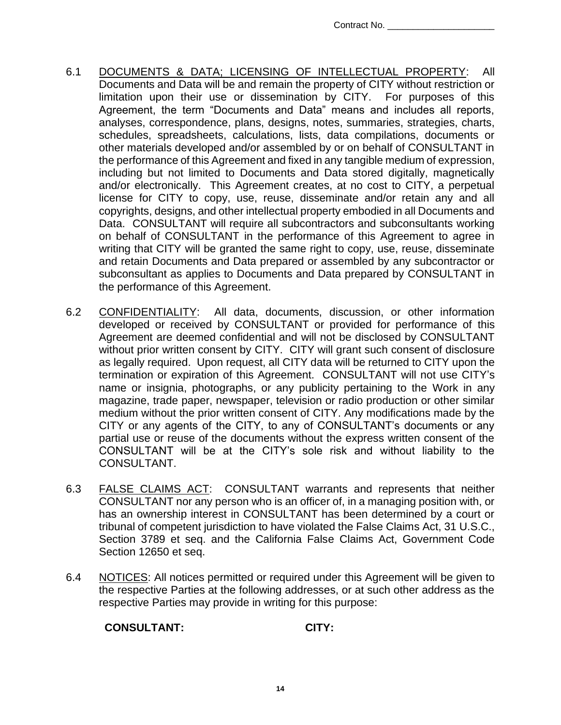- 6.1 DOCUMENTS & DATA; LICENSING OF INTELLECTUAL PROPERTY: All Documents and Data will be and remain the property of CITY without restriction or limitation upon their use or dissemination by CITY. For purposes of this Agreement, the term "Documents and Data" means and includes all reports, analyses, correspondence, plans, designs, notes, summaries, strategies, charts, schedules, spreadsheets, calculations, lists, data compilations, documents or other materials developed and/or assembled by or on behalf of CONSULTANT in the performance of this Agreement and fixed in any tangible medium of expression, including but not limited to Documents and Data stored digitally, magnetically and/or electronically. This Agreement creates, at no cost to CITY, a perpetual license for CITY to copy, use, reuse, disseminate and/or retain any and all copyrights, designs, and other intellectual property embodied in all Documents and Data. CONSULTANT will require all subcontractors and subconsultants working on behalf of CONSULTANT in the performance of this Agreement to agree in writing that CITY will be granted the same right to copy, use, reuse, disseminate and retain Documents and Data prepared or assembled by any subcontractor or subconsultant as applies to Documents and Data prepared by CONSULTANT in the performance of this Agreement.
- 6.2 CONFIDENTIALITY: All data, documents, discussion, or other information developed or received by CONSULTANT or provided for performance of this Agreement are deemed confidential and will not be disclosed by CONSULTANT without prior written consent by CITY. CITY will grant such consent of disclosure as legally required. Upon request, all CITY data will be returned to CITY upon the termination or expiration of this Agreement. CONSULTANT will not use CITY's name or insignia, photographs, or any publicity pertaining to the Work in any magazine, trade paper, newspaper, television or radio production or other similar medium without the prior written consent of CITY. Any modifications made by the CITY or any agents of the CITY, to any of CONSULTANT's documents or any partial use or reuse of the documents without the express written consent of the CONSULTANT will be at the CITY's sole risk and without liability to the CONSULTANT.
- 6.3 FALSE CLAIMS ACT: CONSULTANT warrants and represents that neither CONSULTANT nor any person who is an officer of, in a managing position with, or has an ownership interest in CONSULTANT has been determined by a court or tribunal of competent jurisdiction to have violated the False Claims Act, 31 U.S.C., Section 3789 et seq. and the California False Claims Act, Government Code Section 12650 et seq.
- 6.4 NOTICES: All notices permitted or required under this Agreement will be given to the respective Parties at the following addresses, or at such other address as the respective Parties may provide in writing for this purpose:

## **CONSULTANT: CITY:**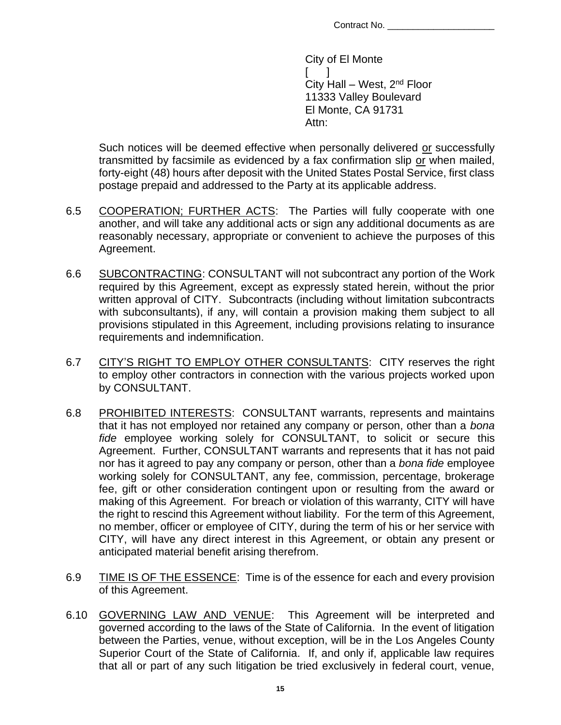City of El Monte  $\Box$ City Hall – West,  $2<sup>nd</sup>$  Floor 11333 Valley Boulevard El Monte, CA 91731 Attn:

Such notices will be deemed effective when personally delivered or successfully transmitted by facsimile as evidenced by a fax confirmation slip or when mailed, forty-eight (48) hours after deposit with the United States Postal Service, first class postage prepaid and addressed to the Party at its applicable address.

- 6.5 COOPERATION; FURTHER ACTS: The Parties will fully cooperate with one another, and will take any additional acts or sign any additional documents as are reasonably necessary, appropriate or convenient to achieve the purposes of this Agreement.
- 6.6 SUBCONTRACTING: CONSULTANT will not subcontract any portion of the Work required by this Agreement, except as expressly stated herein, without the prior written approval of CITY. Subcontracts (including without limitation subcontracts with subconsultants), if any, will contain a provision making them subject to all provisions stipulated in this Agreement, including provisions relating to insurance requirements and indemnification.
- 6.7 CITY'S RIGHT TO EMPLOY OTHER CONSULTANTS: CITY reserves the right to employ other contractors in connection with the various projects worked upon by CONSULTANT.
- 6.8 PROHIBITED INTERESTS: CONSULTANT warrants, represents and maintains that it has not employed nor retained any company or person, other than a *bona fide* employee working solely for CONSULTANT, to solicit or secure this Agreement. Further, CONSULTANT warrants and represents that it has not paid nor has it agreed to pay any company or person, other than a *bona fide* employee working solely for CONSULTANT, any fee, commission, percentage, brokerage fee, gift or other consideration contingent upon or resulting from the award or making of this Agreement. For breach or violation of this warranty, CITY will have the right to rescind this Agreement without liability. For the term of this Agreement, no member, officer or employee of CITY, during the term of his or her service with CITY, will have any direct interest in this Agreement, or obtain any present or anticipated material benefit arising therefrom.
- 6.9 TIME IS OF THE ESSENCE: Time is of the essence for each and every provision of this Agreement.
- 6.10 GOVERNING LAW AND VENUE: This Agreement will be interpreted and governed according to the laws of the State of California. In the event of litigation between the Parties, venue, without exception, will be in the Los Angeles County Superior Court of the State of California. If, and only if, applicable law requires that all or part of any such litigation be tried exclusively in federal court, venue,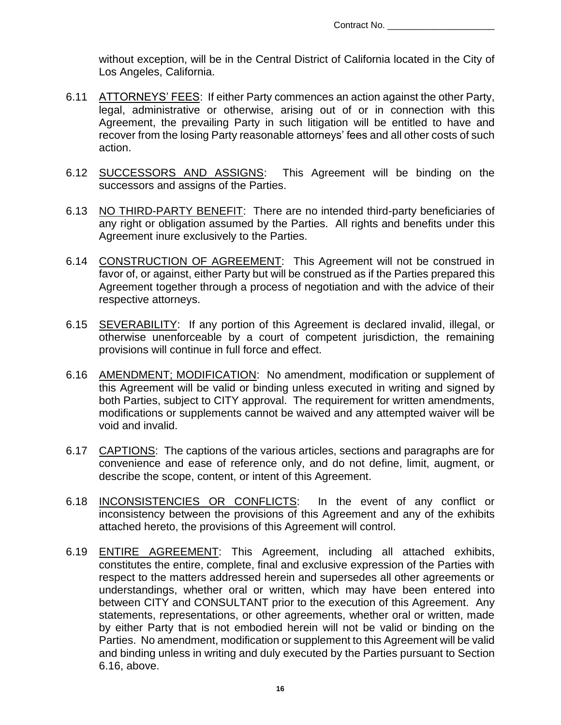without exception, will be in the Central District of California located in the City of Los Angeles, California.

- 6.11 ATTORNEYS' FEES: If either Party commences an action against the other Party, legal, administrative or otherwise, arising out of or in connection with this Agreement, the prevailing Party in such litigation will be entitled to have and recover from the losing Party reasonable attorneys' fees and all other costs of such action.
- 6.12 SUCCESSORS AND ASSIGNS: This Agreement will be binding on the successors and assigns of the Parties.
- 6.13 NO THIRD-PARTY BENEFIT: There are no intended third-party beneficiaries of any right or obligation assumed by the Parties. All rights and benefits under this Agreement inure exclusively to the Parties.
- 6.14 CONSTRUCTION OF AGREEMENT: This Agreement will not be construed in favor of, or against, either Party but will be construed as if the Parties prepared this Agreement together through a process of negotiation and with the advice of their respective attorneys.
- 6.15 SEVERABILITY: If any portion of this Agreement is declared invalid, illegal, or otherwise unenforceable by a court of competent jurisdiction, the remaining provisions will continue in full force and effect.
- 6.16 AMENDMENT; MODIFICATION: No amendment, modification or supplement of this Agreement will be valid or binding unless executed in writing and signed by both Parties, subject to CITY approval. The requirement for written amendments, modifications or supplements cannot be waived and any attempted waiver will be void and invalid.
- 6.17 CAPTIONS: The captions of the various articles, sections and paragraphs are for convenience and ease of reference only, and do not define, limit, augment, or describe the scope, content, or intent of this Agreement.
- 6.18 INCONSISTENCIES OR CONFLICTS: In the event of any conflict or inconsistency between the provisions of this Agreement and any of the exhibits attached hereto, the provisions of this Agreement will control.
- 6.19 ENTIRE AGREEMENT: This Agreement, including all attached exhibits, constitutes the entire, complete, final and exclusive expression of the Parties with respect to the matters addressed herein and supersedes all other agreements or understandings, whether oral or written, which may have been entered into between CITY and CONSULTANT prior to the execution of this Agreement. Any statements, representations, or other agreements, whether oral or written, made by either Party that is not embodied herein will not be valid or binding on the Parties. No amendment, modification or supplement to this Agreement will be valid and binding unless in writing and duly executed by the Parties pursuant to Section 6.16, above.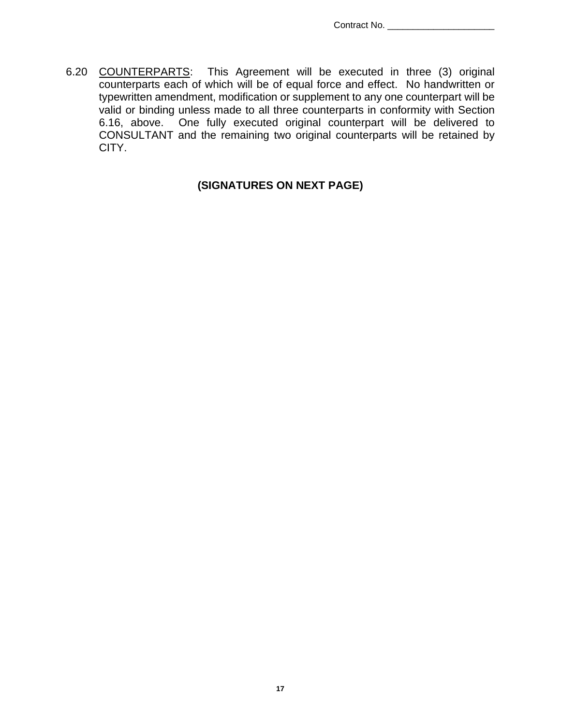6.20 COUNTERPARTS: This Agreement will be executed in three (3) original counterparts each of which will be of equal force and effect. No handwritten or typewritten amendment, modification or supplement to any one counterpart will be valid or binding unless made to all three counterparts in conformity with Section 6.16, above. One fully executed original counterpart will be delivered to CONSULTANT and the remaining two original counterparts will be retained by CITY.

## **(SIGNATURES ON NEXT PAGE)**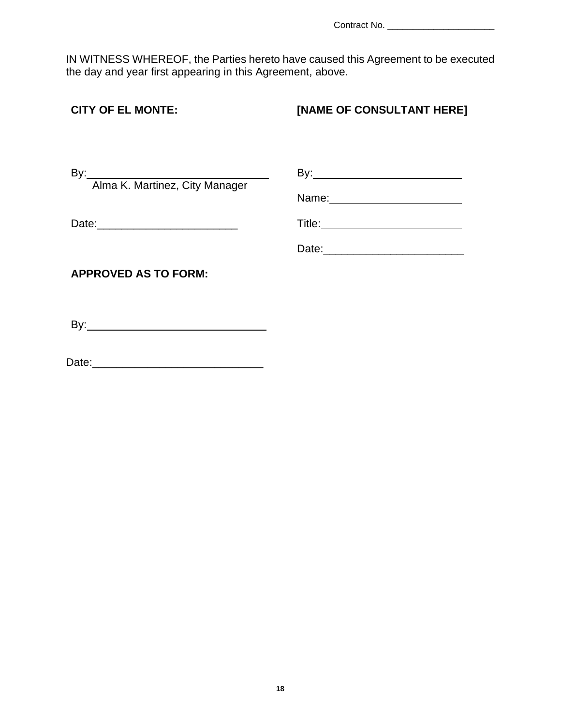Contract No. \_\_\_\_\_\_\_\_\_\_\_\_\_\_\_\_\_\_\_\_\_

IN WITNESS WHEREOF, the Parties hereto have caused this Agreement to be executed the day and year first appearing in this Agreement, above.

# **[NAME OF CONSULTANT HERE] CITY OF EL MONTE:**  $By:$ By:  $\mathcal{L}^{\text{max}}_{\text{max}}$  Alma K. Martinez, City Manager Name: with the contract of the contract of the contract of the contract of the contract of the contract of the contract of the contract of the contract of the contract of the contract of the contract of the contract of the Title: Date:\_\_\_\_\_\_\_\_\_\_\_\_\_\_\_\_\_\_\_\_\_\_\_ Date:\_\_\_\_\_\_\_\_\_\_\_\_\_\_\_\_\_\_\_\_\_\_\_ **APPROVED AS TO FORM:** By: \_\_\_\_\_

Date:\_\_\_\_\_\_\_\_\_\_\_\_\_\_\_\_\_\_\_\_\_\_\_\_\_\_\_\_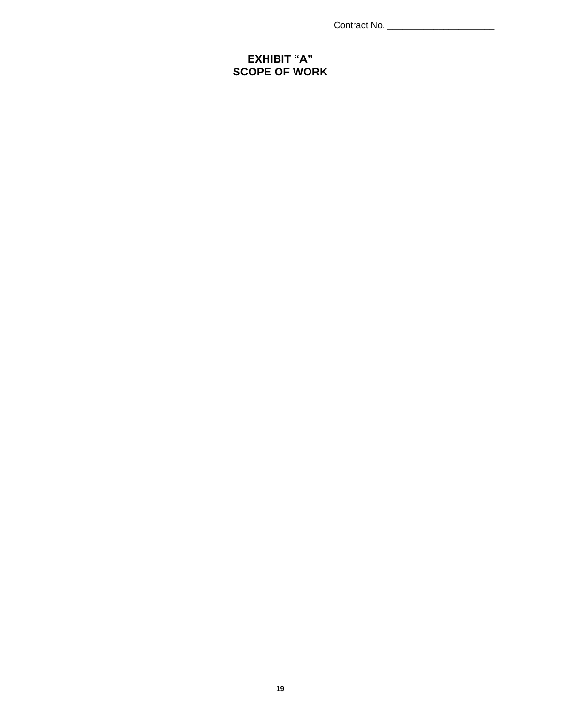Contract No. \_\_\_\_\_\_\_\_\_\_\_\_\_\_\_\_\_\_\_\_\_

### **EXHIBIT "A" SCOPE OF WORK**